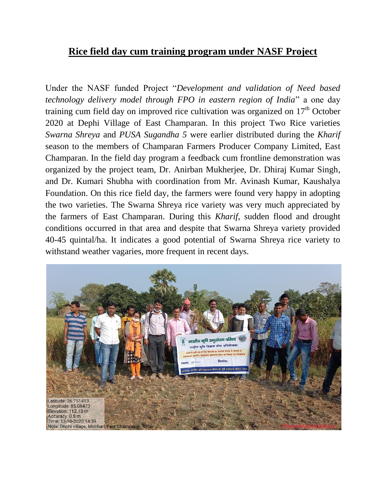## **Rice field day cum training program under NASF Project**

Under the NASF funded Project "*Development and validation of Need based technology delivery model through FPO in eastern region of India*" a one day training cum field day on improved rice cultivation was organized on  $17<sup>th</sup>$  October 2020 at Dephi Village of East Champaran. In this project Two Rice varieties *Swarna Shreya* and *PUSA Sugandha 5* were earlier distributed during the *Kharif* season to the members of Champaran Farmers Producer Company Limited, East Champaran. In the field day program a feedback cum frontline demonstration was organized by the project team, Dr. Anirban Mukherjee, Dr. Dhiraj Kumar Singh, and Dr. Kumari Shubha with coordination from Mr. Avinash Kumar, Kaushalya Foundation. On this rice field day, the farmers were found very happy in adopting the two varieties. The Swarna Shreya rice variety was very much appreciated by the farmers of East Champaran. During this *Kharif*, sudden flood and drought conditions occurred in that area and despite that Swarna Shreya variety provided 40-45 quintal/ha. It indicates a good potential of Swarna Shreya rice variety to withstand weather vagaries, more frequent in recent days.

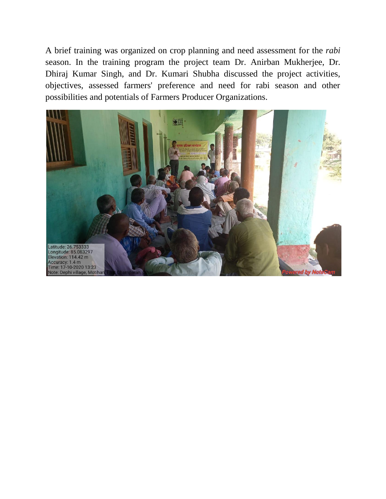A brief training was organized on crop planning and need assessment for the *rabi* season. In the training program the project team Dr. Anirban Mukherjee, Dr. Dhiraj Kumar Singh, and Dr. Kumari Shubha discussed the project activities, objectives, assessed farmers' preference and need for rabi season and other possibilities and potentials of Farmers Producer Organizations.

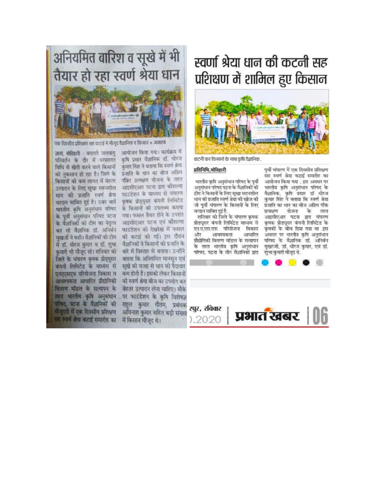

एक दिवसीय प्रशिक्षण सह कटाई में मौजूद वैज्ञानिक व किसान © आंगरण

परिवर्तन के दौर में परंपरागत कृषि प्रसार वैज्ञानिक डॉ. धोरज विधि से खेती करने वाले किसानों - कुमार सिंह ने बताया कि स्वर्ण श्रेया को नुकसान हो रहा है। जिले के प्रजाति के धान का बीज अग्रिम किसानों को कम लागत में बेहतर पबित प्रत्यक्षण योजना के तहत उत्पादन के लिए सुखा सहनशील आइसीएआर पटना द्वारा कौशल्या के पूर्वी अनुसंधान परिषद पटना वितरण मॉडल के सत्यापन के परिषद, पटना के वैज्ञानिकों की मौजूदगी में एक दिवसीय प्रशिक्षण प्त स्वर्ण श्रेया कटाई समारोह का में किसान मौजूद थे।

जासं, मोतिहारी : बदलते जलवायु आयोजन किया गया। कार्यक्रम में धान की प्रजाति स्वर्ण श्रेया फाउंडेशन के माध्यम से चंपारण वरदान साबित हुई है। उक्त बातें कृषक प्रोड्यूसर कंपनी लिमिटेड भारतीय कृषि अनुसंधान परिषद के किसानों को उपलब्ध कराया गया। फसल तैयार होने के उपरांत के वैज्ञानिकों की टीम का नेतृत्व आइसीएआर पटना एवं कौशल्या कर रहे वैज्ञानिक डॉ. अनिर्बन फाउंडेशन की देखरेख में फसल मुखर्जी ने कही। वैज्ञानिकों की टीम की कटाई की गई। इस दौरान में डॉ. घीरज कुमार व डॉ. शुभा वैज्ञानिकों ने किसानों को प्रजाति के कुमारी भी मौजूद रहे। शनिवार को बारे में विस्तार से बताया। उन्होंने जिले के चंपारण कृषक प्रोड्यूसर बताया कि अनियमित मानसून एवं कंपनी लिमिटेड के माध्यम से सुखे की वजह से धान की पैदावार एनएएसएफ परियोजना विकास व कम होती है। इसको लेकर किसानों आवश्यकता आधारित प्रौद्योगिकी को स्वर्ण श्रेया बीज का उपयोग कर बेहतर उत्पादन लेना चाहिए। मौके तहत भारतीय कृषि अनुसंधान पर फाउंडेशन के कृषि विशेषज्ञ राहुल कुमार गौतम, प्रबंधक अविनाश कुमार सहित बड़ी संख्या

## स्वर्णा श्रेया धान की कटनी सह प्रशिक्षण में शामिल हुए किसान



कटनी कर किसानों के साथ कृषि वैज्ञानिक .

## प्रतिनिधि, मोतिहारी

भारतीय कृषि अनसंधान परिषद के पूर्वी अनुसंधान परिषद पटना के वैज्ञानिकों की टीम ने किसानों के लिए सखा सहनशील धान की प्रजाति स्वर्ण श्रेया की खोज की जो पूर्वी चंपारण के किसानों के लिए वरदान साबित हुई है.

शनिवार को जिले के चंपारण कृपक प्रोड्यूसर कंपनी लिमिटेड माध्यम से एन.ए.एस.एफ परियोजना विकास और आवश्यकता आधारित प्रौद्योगिकी वितरण मॉडल के सत्यापन के तहत भारतीय कृषि अनुसंधान परिषद, पटना के तीन वैज्ञानिकों द्वारा

पूर्वी चंपारण में एक दिवसीय प्रशिक्षण सह स्वर्ण श्रेया कटाई समारोह का आयोजन किया गया . इस अवसर पर भारतीय कृषि अनुसंधान परिषद के वैज्ञानिक, कृषि प्रसार डॉ धीरज कुमार सिंह ने बताया कि स्वर्ण श्रेया प्रजाति का धान का बीज अग्रिम पंक्ति प्रत्यक्षण योजना के तहत आइसीएआर पटना द्वारा चंपारण कृषक प्रोड्युसर कंपनी लिमिटेड के कृषकों के बीच दिया गया था .इस अवसर पर भारतीय कृषि अनुसंधान परिषद के वैज्ञानिक डॉ. अनिर्बन मुखरजी, डॉ. धीरज कुमार, एवं डॉ. शुभा कुमारी मौजूद थे.